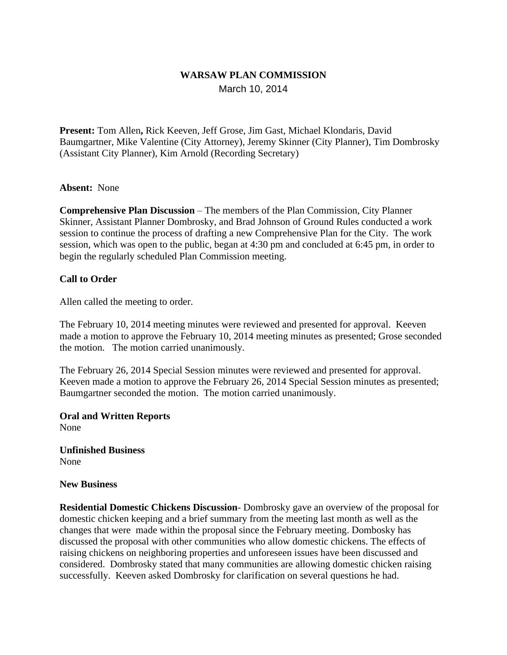## **WARSAW PLAN COMMISSION** March 10, 2014

**Present:** Tom Allen**,** Rick Keeven, Jeff Grose, Jim Gast, Michael Klondaris, David Baumgartner, Mike Valentine (City Attorney), Jeremy Skinner (City Planner), Tim Dombrosky (Assistant City Planner), Kim Arnold (Recording Secretary)

### **Absent:** None

**Comprehensive Plan Discussion** – The members of the Plan Commission, City Planner Skinner, Assistant Planner Dombrosky, and Brad Johnson of Ground Rules conducted a work session to continue the process of drafting a new Comprehensive Plan for the City. The work session, which was open to the public, began at 4:30 pm and concluded at 6:45 pm, in order to begin the regularly scheduled Plan Commission meeting.

### **Call to Order**

Allen called the meeting to order.

The February 10, 2014 meeting minutes were reviewed and presented for approval. Keeven made a motion to approve the February 10, 2014 meeting minutes as presented; Grose seconded the motion. The motion carried unanimously.

The February 26, 2014 Special Session minutes were reviewed and presented for approval. Keeven made a motion to approve the February 26, 2014 Special Session minutes as presented; Baumgartner seconded the motion. The motion carried unanimously.

**Oral and Written Reports** None

**Unfinished Business** None

#### **New Business**

**Residential Domestic Chickens Discussion**- Dombrosky gave an overview of the proposal for domestic chicken keeping and a brief summary from the meeting last month as well as the changes that were made within the proposal since the February meeting. Dombosky has discussed the proposal with other communities who allow domestic chickens. The effects of raising chickens on neighboring properties and unforeseen issues have been discussed and considered. Dombrosky stated that many communities are allowing domestic chicken raising successfully. Keeven asked Dombrosky for clarification on several questions he had.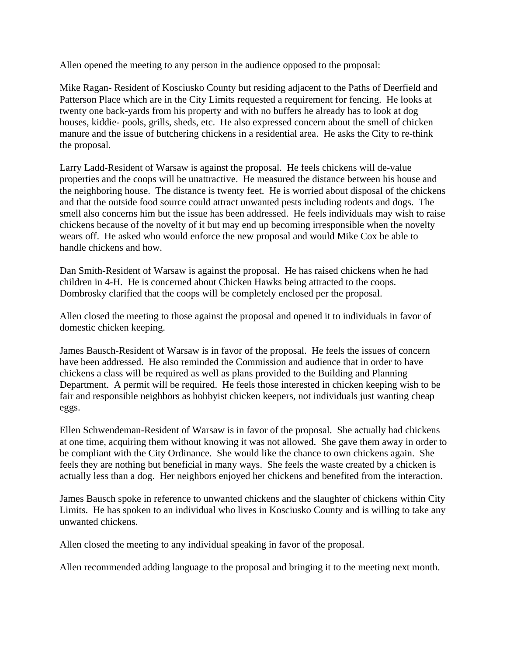Allen opened the meeting to any person in the audience opposed to the proposal:

Mike Ragan- Resident of Kosciusko County but residing adjacent to the Paths of Deerfield and Patterson Place which are in the City Limits requested a requirement for fencing. He looks at twenty one back-yards from his property and with no buffers he already has to look at dog houses, kiddie- pools, grills, sheds, etc. He also expressed concern about the smell of chicken manure and the issue of butchering chickens in a residential area. He asks the City to re-think the proposal.

Larry Ladd-Resident of Warsaw is against the proposal. He feels chickens will de-value properties and the coops will be unattractive. He measured the distance between his house and the neighboring house. The distance is twenty feet. He is worried about disposal of the chickens and that the outside food source could attract unwanted pests including rodents and dogs. The smell also concerns him but the issue has been addressed. He feels individuals may wish to raise chickens because of the novelty of it but may end up becoming irresponsible when the novelty wears off. He asked who would enforce the new proposal and would Mike Cox be able to handle chickens and how.

Dan Smith-Resident of Warsaw is against the proposal. He has raised chickens when he had children in 4-H. He is concerned about Chicken Hawks being attracted to the coops. Dombrosky clarified that the coops will be completely enclosed per the proposal.

Allen closed the meeting to those against the proposal and opened it to individuals in favor of domestic chicken keeping.

James Bausch-Resident of Warsaw is in favor of the proposal. He feels the issues of concern have been addressed. He also reminded the Commission and audience that in order to have chickens a class will be required as well as plans provided to the Building and Planning Department. A permit will be required. He feels those interested in chicken keeping wish to be fair and responsible neighbors as hobbyist chicken keepers, not individuals just wanting cheap eggs.

Ellen Schwendeman-Resident of Warsaw is in favor of the proposal. She actually had chickens at one time, acquiring them without knowing it was not allowed. She gave them away in order to be compliant with the City Ordinance. She would like the chance to own chickens again. She feels they are nothing but beneficial in many ways. She feels the waste created by a chicken is actually less than a dog. Her neighbors enjoyed her chickens and benefited from the interaction.

James Bausch spoke in reference to unwanted chickens and the slaughter of chickens within City Limits. He has spoken to an individual who lives in Kosciusko County and is willing to take any unwanted chickens.

Allen closed the meeting to any individual speaking in favor of the proposal.

Allen recommended adding language to the proposal and bringing it to the meeting next month.